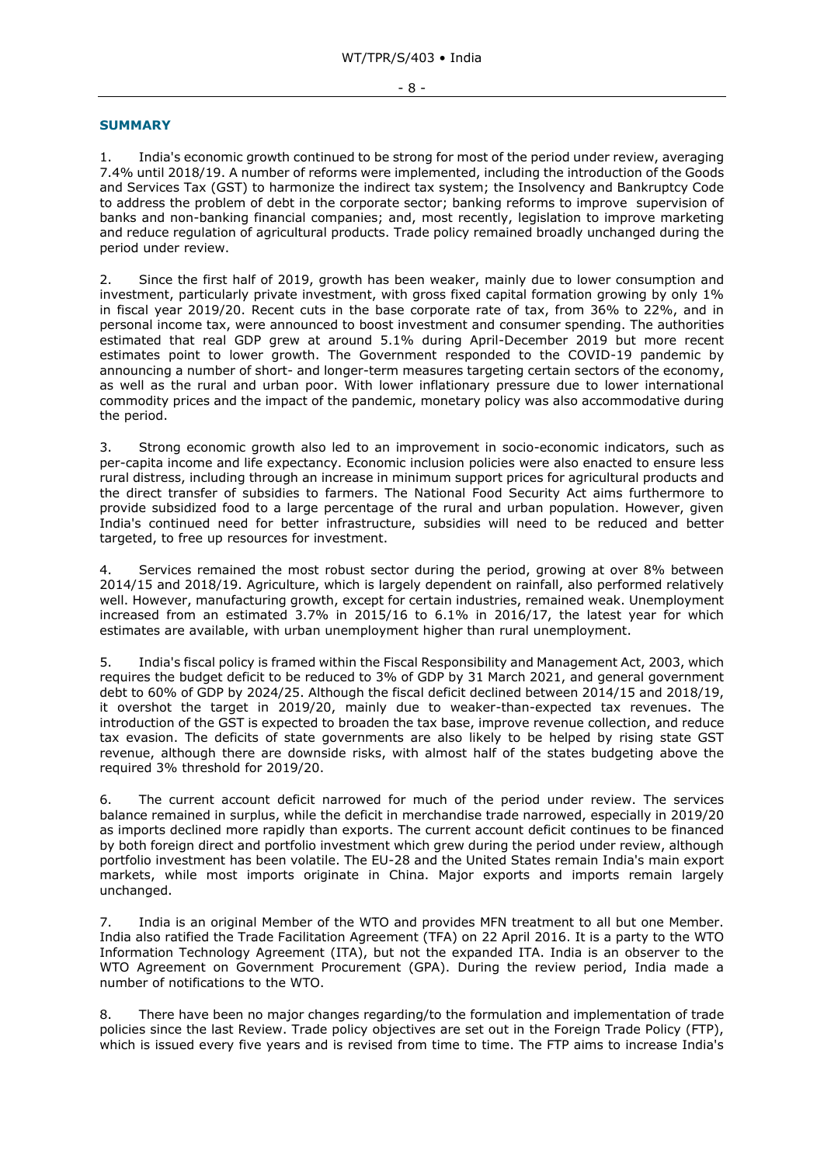## **SUMMARY**

1. India's economic growth continued to be strong for most of the period under review, averaging 7.4% until 2018/19. A number of reforms were implemented, including the introduction of the Goods and Services Tax (GST) to harmonize the indirect tax system; the Insolvency and Bankruptcy Code to address the problem of debt in the corporate sector; banking reforms to improve supervision of banks and non-banking financial companies; and, most recently, legislation to improve marketing and reduce regulation of agricultural products. Trade policy remained broadly unchanged during the period under review.

2. Since the first half of 2019, growth has been weaker, mainly due to lower consumption and investment, particularly private investment, with gross fixed capital formation growing by only 1% in fiscal year 2019/20. Recent cuts in the base corporate rate of tax, from 36% to 22%, and in personal income tax, were announced to boost investment and consumer spending. The authorities estimated that real GDP grew at around 5.1% during April-December 2019 but more recent estimates point to lower growth. The Government responded to the COVID-19 pandemic by announcing a number of short- and longer-term measures targeting certain sectors of the economy, as well as the rural and urban poor. With lower inflationary pressure due to lower international commodity prices and the impact of the pandemic, monetary policy was also accommodative during the period.

3. Strong economic growth also led to an improvement in socio-economic indicators, such as per-capita income and life expectancy. Economic inclusion policies were also enacted to ensure less rural distress, including through an increase in minimum support prices for agricultural products and the direct transfer of subsidies to farmers. The National Food Security Act aims furthermore to provide subsidized food to a large percentage of the rural and urban population. However, given India's continued need for better infrastructure, subsidies will need to be reduced and better targeted, to free up resources for investment.

4. Services remained the most robust sector during the period, growing at over 8% between 2014/15 and 2018/19. Agriculture, which is largely dependent on rainfall, also performed relatively well. However, manufacturing growth, except for certain industries, remained weak. Unemployment increased from an estimated 3.7% in 2015/16 to 6.1% in 2016/17, the latest year for which estimates are available, with urban unemployment higher than rural unemployment.

5. India's fiscal policy is framed within the Fiscal Responsibility and Management Act, 2003, which requires the budget deficit to be reduced to 3% of GDP by 31 March 2021, and general government debt to 60% of GDP by 2024/25. Although the fiscal deficit declined between 2014/15 and 2018/19, it overshot the target in 2019/20, mainly due to weaker-than-expected tax revenues. The introduction of the GST is expected to broaden the tax base, improve revenue collection, and reduce tax evasion. The deficits of state governments are also likely to be helped by rising state GST revenue, although there are downside risks, with almost half of the states budgeting above the required 3% threshold for 2019/20.

6. The current account deficit narrowed for much of the period under review. The services balance remained in surplus, while the deficit in merchandise trade narrowed, especially in 2019/20 as imports declined more rapidly than exports. The current account deficit continues to be financed by both foreign direct and portfolio investment which grew during the period under review, although portfolio investment has been volatile. The EU-28 and the United States remain India's main export markets, while most imports originate in China. Major exports and imports remain largely unchanged.

7. India is an original Member of the WTO and provides MFN treatment to all but one Member. India also ratified the Trade Facilitation Agreement (TFA) on 22 April 2016. It is a party to the WTO Information Technology Agreement (ITA), but not the expanded ITA. India is an observer to the WTO Agreement on Government Procurement (GPA). During the review period, India made a number of notifications to the WTO.

8. There have been no major changes regarding/to the formulation and implementation of trade policies since the last Review. Trade policy objectives are set out in the Foreign Trade Policy (FTP), which is issued every five years and is revised from time to time. The FTP aims to increase India's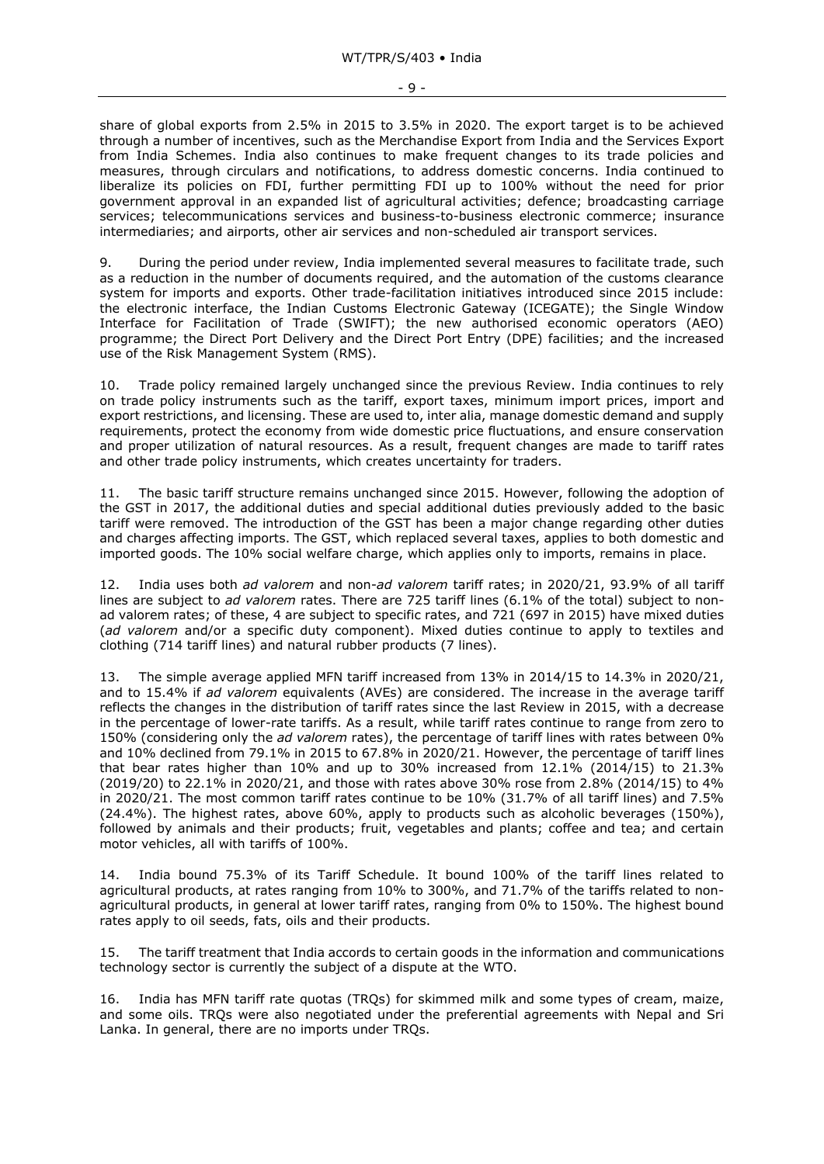- 9 -

share of global exports from 2.5% in 2015 to 3.5% in 2020. The export target is to be achieved through a number of incentives, such as the Merchandise Export from India and the Services Export from India Schemes. India also continues to make frequent changes to its trade policies and measures, through circulars and notifications, to address domestic concerns. India continued to liberalize its policies on FDI, further permitting FDI up to 100% without the need for prior government approval in an expanded list of agricultural activities; defence; broadcasting carriage services; telecommunications services and business-to-business electronic commerce; insurance intermediaries; and airports, other air services and non-scheduled air transport services.

9. During the period under review, India implemented several measures to facilitate trade, such as a reduction in the number of documents required, and the automation of the customs clearance system for imports and exports. Other trade-facilitation initiatives introduced since 2015 include: the electronic interface, the Indian Customs Electronic Gateway (ICEGATE); the Single Window Interface for Facilitation of Trade (SWIFT); the new authorised economic operators (AEO) programme; the Direct Port Delivery and the Direct Port Entry (DPE) facilities; and the increased use of the Risk Management System (RMS).

10. Trade policy remained largely unchanged since the previous Review. India continues to rely on trade policy instruments such as the tariff, export taxes, minimum import prices, import and export restrictions, and licensing. These are used to, inter alia, manage domestic demand and supply requirements, protect the economy from wide domestic price fluctuations, and ensure conservation and proper utilization of natural resources. As a result, frequent changes are made to tariff rates and other trade policy instruments, which creates uncertainty for traders.

11. The basic tariff structure remains unchanged since 2015. However, following the adoption of the GST in 2017, the additional duties and special additional duties previously added to the basic tariff were removed. The introduction of the GST has been a major change regarding other duties and charges affecting imports. The GST, which replaced several taxes, applies to both domestic and imported goods. The 10% social welfare charge, which applies only to imports, remains in place.

12. India uses both *ad valorem* and non-*ad valorem* tariff rates; in 2020/21, 93.9% of all tariff lines are subject to *ad valorem* rates. There are 725 tariff lines (6.1% of the total) subject to nonad valorem rates; of these, 4 are subject to specific rates, and 721 (697 in 2015) have mixed duties (*ad valorem* and/or a specific duty component). Mixed duties continue to apply to textiles and clothing (714 tariff lines) and natural rubber products (7 lines).

13. The simple average applied MFN tariff increased from 13% in 2014/15 to 14.3% in 2020/21, and to 15.4% if *ad valorem* equivalents (AVEs) are considered. The increase in the average tariff reflects the changes in the distribution of tariff rates since the last Review in 2015, with a decrease in the percentage of lower-rate tariffs. As a result, while tariff rates continue to range from zero to 150% (considering only the *ad valorem* rates), the percentage of tariff lines with rates between 0% and 10% declined from 79.1% in 2015 to 67.8% in 2020/21. However, the percentage of tariff lines that bear rates higher than  $10\%$  and up to 30% increased from  $12.1\%$  (2014/15) to 21.3% (2019/20) to 22.1% in 2020/21, and those with rates above 30% rose from 2.8% (2014/15) to 4% in 2020/21. The most common tariff rates continue to be 10% (31.7% of all tariff lines) and 7.5% (24.4%). The highest rates, above 60%, apply to products such as alcoholic beverages (150%), followed by animals and their products; fruit, vegetables and plants; coffee and tea; and certain motor vehicles, all with tariffs of 100%.

14. India bound 75.3% of its Tariff Schedule. It bound 100% of the tariff lines related to agricultural products, at rates ranging from 10% to 300%, and 71.7% of the tariffs related to nonagricultural products, in general at lower tariff rates, ranging from 0% to 150%. The highest bound rates apply to oil seeds, fats, oils and their products.

15. The tariff treatment that India accords to certain goods in the information and communications technology sector is currently the subject of a dispute at the WTO.

16. India has MFN tariff rate quotas (TRQs) for skimmed milk and some types of cream, maize, and some oils. TRQs were also negotiated under the preferential agreements with Nepal and Sri Lanka. In general, there are no imports under TRQs.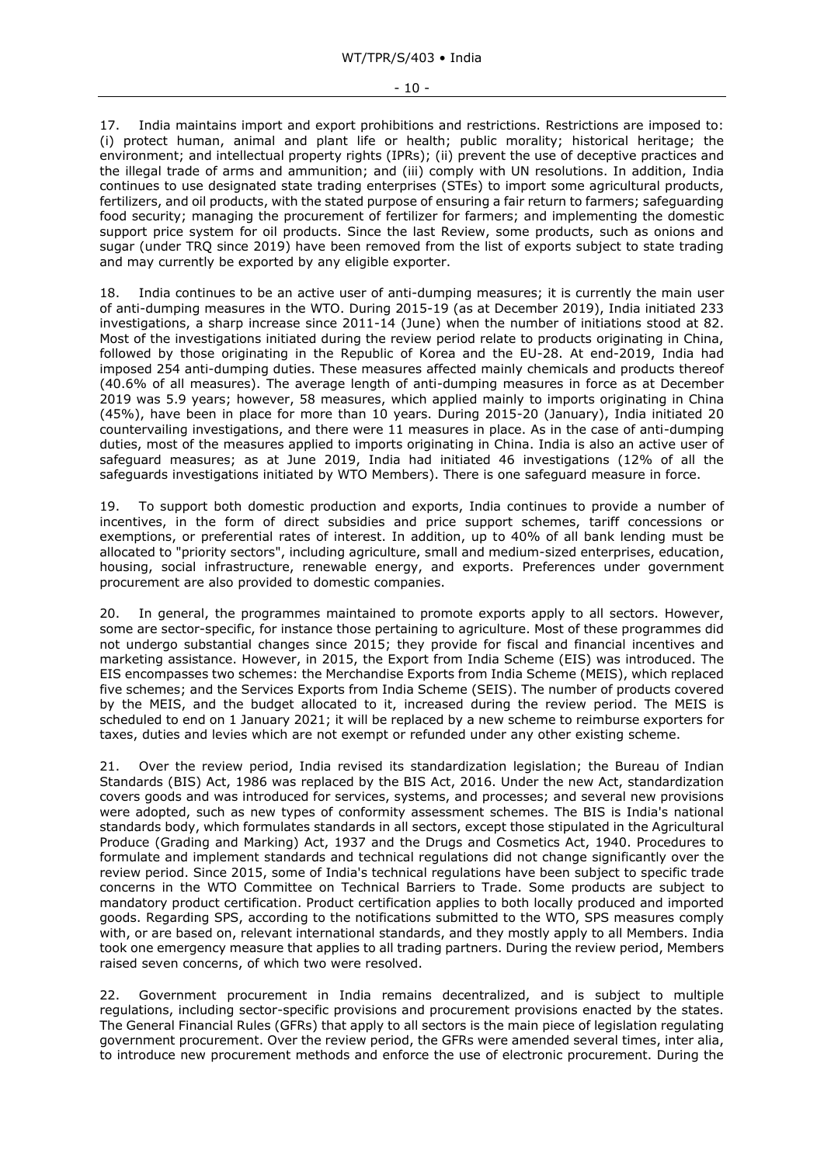17. India maintains import and export prohibitions and restrictions. Restrictions are imposed to: (i) protect human, animal and plant life or health; public morality; historical heritage; the environment; and intellectual property rights (IPRs); (ii) prevent the use of deceptive practices and the illegal trade of arms and ammunition; and (iii) comply with UN resolutions. In addition, India continues to use designated state trading enterprises (STEs) to import some agricultural products, fertilizers, and oil products, with the stated purpose of ensuring a fair return to farmers; safeguarding food security; managing the procurement of fertilizer for farmers; and implementing the domestic support price system for oil products. Since the last Review, some products, such as onions and sugar (under TRQ since 2019) have been removed from the list of exports subject to state trading and may currently be exported by any eligible exporter.

18. India continues to be an active user of anti-dumping measures; it is currently the main user of anti-dumping measures in the WTO. During 2015-19 (as at December 2019), India initiated 233 investigations, a sharp increase since 2011-14 (June) when the number of initiations stood at 82. Most of the investigations initiated during the review period relate to products originating in China, followed by those originating in the Republic of Korea and the EU-28. At end-2019, India had imposed 254 anti-dumping duties. These measures affected mainly chemicals and products thereof (40.6% of all measures). The average length of anti-dumping measures in force as at December 2019 was 5.9 years; however, 58 measures, which applied mainly to imports originating in China (45%), have been in place for more than 10 years. During 2015-20 (January), India initiated 20 countervailing investigations, and there were 11 measures in place. As in the case of anti-dumping duties, most of the measures applied to imports originating in China. India is also an active user of safeguard measures; as at June 2019, India had initiated 46 investigations (12% of all the safeguards investigations initiated by WTO Members). There is one safeguard measure in force.

19. To support both domestic production and exports, India continues to provide a number of incentives, in the form of direct subsidies and price support schemes, tariff concessions or exemptions, or preferential rates of interest. In addition, up to 40% of all bank lending must be allocated to "priority sectors", including agriculture, small and medium-sized enterprises, education, housing, social infrastructure, renewable energy, and exports. Preferences under government procurement are also provided to domestic companies.

20. In general, the programmes maintained to promote exports apply to all sectors. However, some are sector-specific, for instance those pertaining to agriculture. Most of these programmes did not undergo substantial changes since 2015; they provide for fiscal and financial incentives and marketing assistance. However, in 2015, the Export from India Scheme (EIS) was introduced. The EIS encompasses two schemes: the Merchandise Exports from India Scheme (MEIS), which replaced five schemes; and the Services Exports from India Scheme (SEIS). The number of products covered by the MEIS, and the budget allocated to it, increased during the review period. The MEIS is scheduled to end on 1 January 2021; it will be replaced by a new scheme to reimburse exporters for taxes, duties and levies which are not exempt or refunded under any other existing scheme.

21. Over the review period, India revised its standardization legislation; the Bureau of Indian Standards (BIS) Act, 1986 was replaced by the BIS Act, 2016. Under the new Act, standardization covers goods and was introduced for services, systems, and processes; and several new provisions were adopted, such as new types of conformity assessment schemes. The BIS is India's national standards body, which formulates standards in all sectors, except those stipulated in the Agricultural Produce (Grading and Marking) Act, 1937 and the Drugs and Cosmetics Act, 1940. Procedures to formulate and implement standards and technical regulations did not change significantly over the review period. Since 2015, some of India's technical regulations have been subject to specific trade concerns in the WTO Committee on Technical Barriers to Trade. Some products are subject to mandatory product certification. Product certification applies to both locally produced and imported goods. Regarding SPS, according to the notifications submitted to the WTO, SPS measures comply with, or are based on, relevant international standards, and they mostly apply to all Members. India took one emergency measure that applies to all trading partners. During the review period, Members raised seven concerns, of which two were resolved.

22. Government procurement in India remains decentralized, and is subject to multiple regulations, including sector-specific provisions and procurement provisions enacted by the states. The General Financial Rules (GFRs) that apply to all sectors is the main piece of legislation regulating government procurement. Over the review period, the GFRs were amended several times, inter alia, to introduce new procurement methods and enforce the use of electronic procurement. During the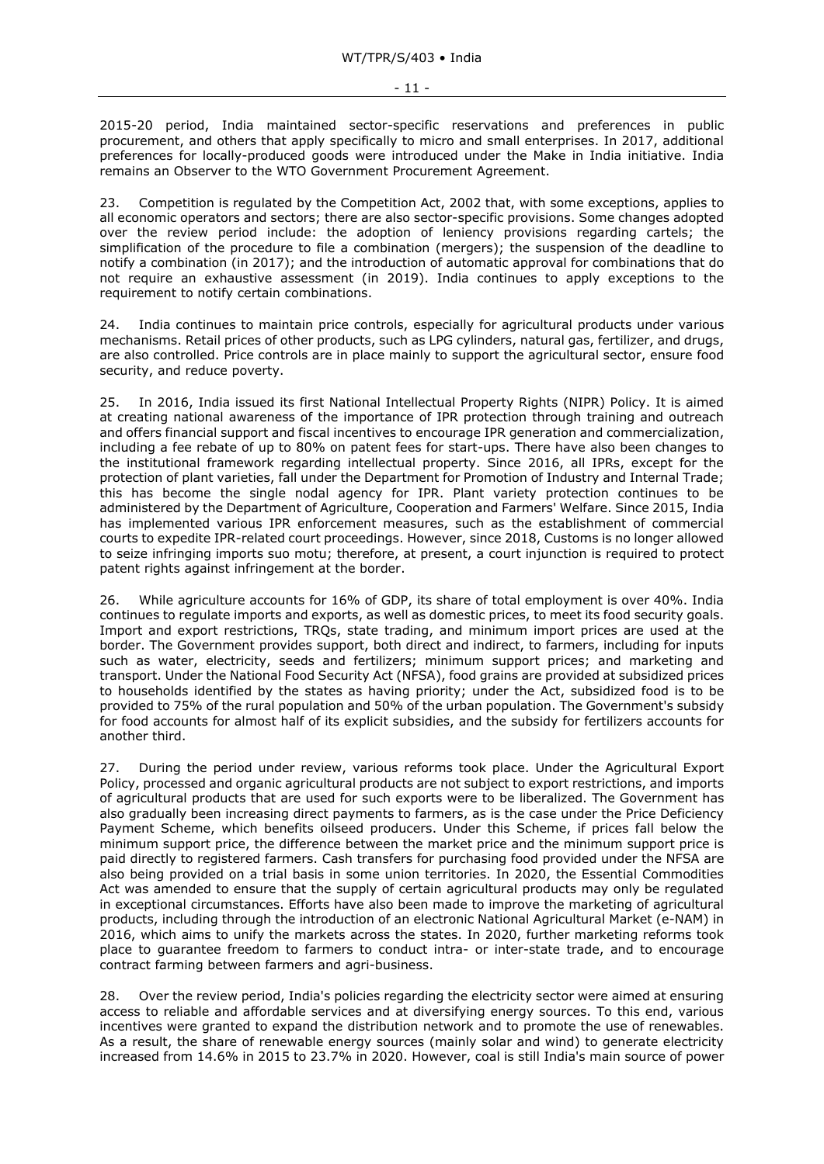2015-20 period, India maintained sector-specific reservations and preferences in public procurement, and others that apply specifically to micro and small enterprises. In 2017, additional preferences for locally-produced goods were introduced under the Make in India initiative. India remains an Observer to the WTO Government Procurement Agreement.

23. Competition is regulated by the Competition Act, 2002 that, with some exceptions, applies to all economic operators and sectors; there are also sector-specific provisions. Some changes adopted over the review period include: the adoption of leniency provisions regarding cartels; the simplification of the procedure to file a combination (mergers); the suspension of the deadline to notify a combination (in 2017); and the introduction of automatic approval for combinations that do not require an exhaustive assessment (in 2019). India continues to apply exceptions to the requirement to notify certain combinations.

24. India continues to maintain price controls, especially for agricultural products under various mechanisms. Retail prices of other products, such as LPG cylinders, natural gas, fertilizer, and drugs, are also controlled. Price controls are in place mainly to support the agricultural sector, ensure food security, and reduce poverty.

25. In 2016, India issued its first National Intellectual Property Rights (NIPR) Policy. It is aimed at creating national awareness of the importance of IPR protection through training and outreach and offers financial support and fiscal incentives to encourage IPR generation and commercialization, including a fee rebate of up to 80% on patent fees for start-ups. There have also been changes to the institutional framework regarding intellectual property. Since 2016, all IPRs, except for the protection of plant varieties, fall under the Department for Promotion of Industry and Internal Trade; this has become the single nodal agency for IPR. Plant variety protection continues to be administered by the Department of Agriculture, Cooperation and Farmers' Welfare. Since 2015, India has implemented various IPR enforcement measures, such as the establishment of commercial courts to expedite IPR-related court proceedings. However, since 2018, Customs is no longer allowed to seize infringing imports suo motu; therefore, at present, a court injunction is required to protect patent rights against infringement at the border.

26. While agriculture accounts for 16% of GDP, its share of total employment is over 40%. India continues to regulate imports and exports, as well as domestic prices, to meet its food security goals. Import and export restrictions, TRQs, state trading, and minimum import prices are used at the border. The Government provides support, both direct and indirect, to farmers, including for inputs such as water, electricity, seeds and fertilizers; minimum support prices; and marketing and transport. Under the National Food Security Act (NFSA), food grains are provided at subsidized prices to households identified by the states as having priority; under the Act, subsidized food is to be provided to 75% of the rural population and 50% of the urban population. The Government's subsidy for food accounts for almost half of its explicit subsidies, and the subsidy for fertilizers accounts for another third.

27. During the period under review, various reforms took place. Under the Agricultural Export Policy, processed and organic agricultural products are not subject to export restrictions, and imports of agricultural products that are used for such exports were to be liberalized. The Government has also gradually been increasing direct payments to farmers, as is the case under the Price Deficiency Payment Scheme, which benefits oilseed producers. Under this Scheme, if prices fall below the minimum support price, the difference between the market price and the minimum support price is paid directly to registered farmers. Cash transfers for purchasing food provided under the NFSA are also being provided on a trial basis in some union territories. In 2020, the Essential Commodities Act was amended to ensure that the supply of certain agricultural products may only be regulated in exceptional circumstances. Efforts have also been made to improve the marketing of agricultural products, including through the introduction of an electronic National Agricultural Market (e-NAM) in 2016, which aims to unify the markets across the states. In 2020, further marketing reforms took place to guarantee freedom to farmers to conduct intra- or inter-state trade, and to encourage contract farming between farmers and agri-business.

28. Over the review period, India's policies regarding the electricity sector were aimed at ensuring access to reliable and affordable services and at diversifying energy sources. To this end, various incentives were granted to expand the distribution network and to promote the use of renewables. As a result, the share of renewable energy sources (mainly solar and wind) to generate electricity increased from 14.6% in 2015 to 23.7% in 2020. However, coal is still India's main source of power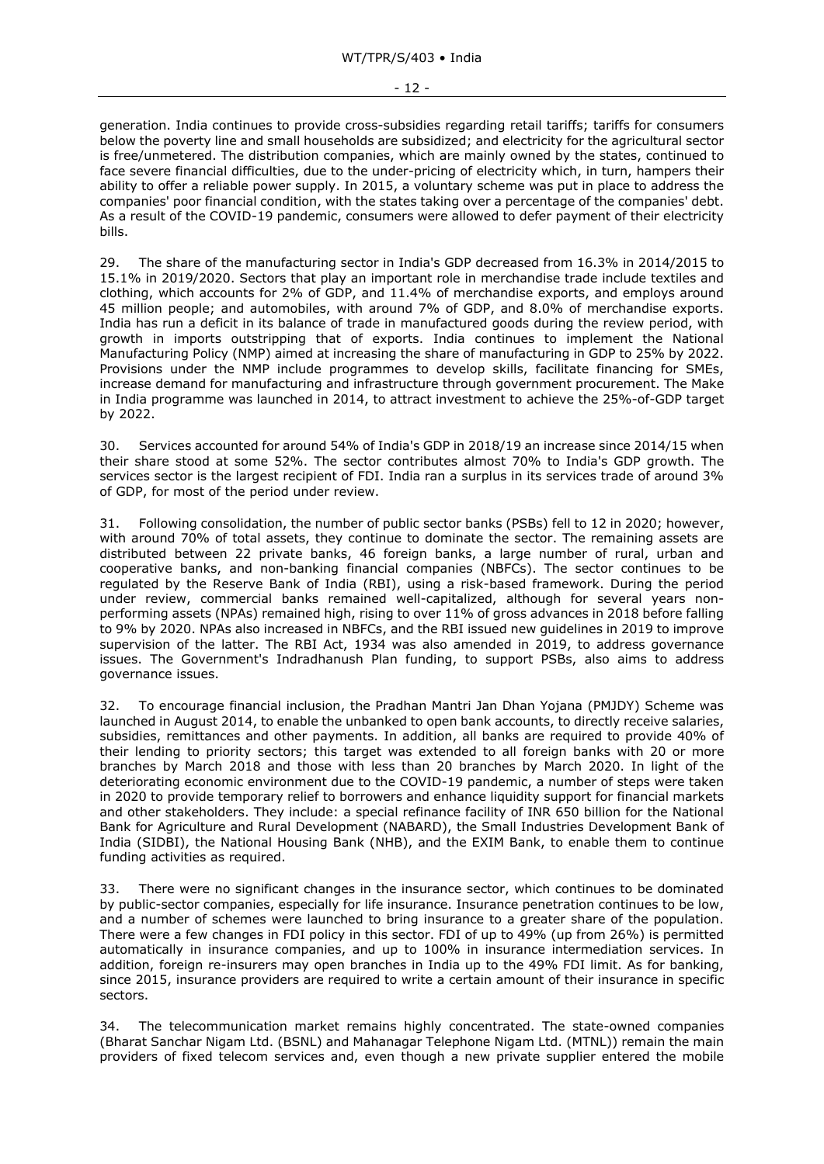generation. India continues to provide cross-subsidies regarding retail tariffs; tariffs for consumers below the poverty line and small households are subsidized; and electricity for the agricultural sector is free/unmetered. The distribution companies, which are mainly owned by the states, continued to face severe financial difficulties, due to the under-pricing of electricity which, in turn, hampers their ability to offer a reliable power supply. In 2015, a voluntary scheme was put in place to address the companies' poor financial condition, with the states taking over a percentage of the companies' debt. As a result of the COVID-19 pandemic, consumers were allowed to defer payment of their electricity bills.

29. The share of the manufacturing sector in India's GDP decreased from 16.3% in 2014/2015 to 15.1% in 2019/2020. Sectors that play an important role in merchandise trade include textiles and clothing, which accounts for 2% of GDP, and 11.4% of merchandise exports, and employs around 45 million people; and automobiles, with around 7% of GDP, and 8.0% of merchandise exports. India has run a deficit in its balance of trade in manufactured goods during the review period, with growth in imports outstripping that of exports. India continues to implement the National Manufacturing Policy (NMP) aimed at increasing the share of manufacturing in GDP to 25% by 2022. Provisions under the NMP include programmes to develop skills, facilitate financing for SMEs, increase demand for manufacturing and infrastructure through government procurement. The Make in India programme was launched in 2014, to attract investment to achieve the 25%-of-GDP target by 2022.

30. Services accounted for around 54% of India's GDP in 2018/19 an increase since 2014/15 when their share stood at some 52%. The sector contributes almost 70% to India's GDP growth. The services sector is the largest recipient of FDI. India ran a surplus in its services trade of around 3% of GDP, for most of the period under review.

31. Following consolidation, the number of public sector banks (PSBs) fell to 12 in 2020; however, with around 70% of total assets, they continue to dominate the sector. The remaining assets are distributed between 22 private banks, 46 foreign banks, a large number of rural, urban and cooperative banks, and non-banking financial companies (NBFCs). The sector continues to be regulated by the Reserve Bank of India (RBI), using a risk-based framework. During the period under review, commercial banks remained well-capitalized, although for several years nonperforming assets (NPAs) remained high, rising to over 11% of gross advances in 2018 before falling to 9% by 2020. NPAs also increased in NBFCs, and the RBI issued new guidelines in 2019 to improve supervision of the latter. The RBI Act, 1934 was also amended in 2019, to address governance issues. The Government's Indradhanush Plan funding, to support PSBs, also aims to address governance issues.

32. To encourage financial inclusion, the Pradhan Mantri Jan Dhan Yojana (PMJDY) Scheme was launched in August 2014, to enable the unbanked to open bank accounts, to directly receive salaries, subsidies, remittances and other payments. In addition, all banks are required to provide 40% of their lending to priority sectors; this target was extended to all foreign banks with 20 or more branches by March 2018 and those with less than 20 branches by March 2020. In light of the deteriorating economic environment due to the COVID-19 pandemic, a number of steps were taken in 2020 to provide temporary relief to borrowers and enhance liquidity support for financial markets and other stakeholders. They include: a special refinance facility of INR 650 billion for the National Bank for Agriculture and Rural Development (NABARD), the Small Industries Development Bank of India (SIDBI), the National Housing Bank (NHB), and the EXIM Bank, to enable them to continue funding activities as required.

33. There were no significant changes in the insurance sector, which continues to be dominated by public-sector companies, especially for life insurance. Insurance penetration continues to be low, and a number of schemes were launched to bring insurance to a greater share of the population. There were a few changes in FDI policy in this sector. FDI of up to 49% (up from 26%) is permitted automatically in insurance companies, and up to 100% in insurance intermediation services. In addition, foreign re-insurers may open branches in India up to the 49% FDI limit. As for banking, since 2015, insurance providers are required to write a certain amount of their insurance in specific sectors.

34. The telecommunication market remains highly concentrated. The state-owned companies (Bharat Sanchar Nigam Ltd. (BSNL) and Mahanagar Telephone Nigam Ltd. (MTNL)) remain the main providers of fixed telecom services and, even though a new private supplier entered the mobile